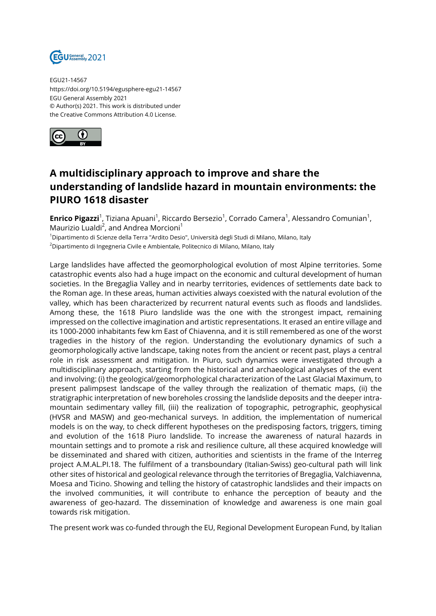

EGU21-14567 https://doi.org/10.5194/egusphere-egu21-14567 EGU General Assembly 2021 © Author(s) 2021. This work is distributed under the Creative Commons Attribution 4.0 License.



## **A multidisciplinary approach to improve and share the understanding of landslide hazard in mountain environments: the PIURO 1618 disaster**

**Enrico Pigazzi**<sup>1</sup>, Tiziana Apuani<sup>1</sup>, Riccardo Bersezio<sup>1</sup>, Corrado Camera<sup>1</sup>, Alessandro Comunian<sup>1</sup>, Maurizio Lualdi<sup>2</sup>, and Andrea Morcioni<sup>1</sup>

<sup>1</sup>Dipartimento di Scienze della Terra "Ardito Desio", Università degli Studi di Milano, Milano, Italy <sup>2</sup>Dipartimento di Ingegneria Civile e Ambientale, Politecnico di Milano, Milano, Italy

Large landslides have affected the geomorphological evolution of most Alpine territories. Some catastrophic events also had a huge impact on the economic and cultural development of human societies. In the Bregaglia Valley and in nearby territories, evidences of settlements date back to the Roman age. In these areas, human activities always coexisted with the natural evolution of the valley, which has been characterized by recurrent natural events such as floods and landslides. Among these, the 1618 Piuro landslide was the one with the strongest impact, remaining impressed on the collective imagination and artistic representations. It erased an entire village and its 1000-2000 inhabitants few km East of Chiavenna, and it is still remembered as one of the worst tragedies in the history of the region. Understanding the evolutionary dynamics of such a geomorphologically active landscape, taking notes from the ancient or recent past, plays a central role in risk assessment and mitigation. In Piuro, such dynamics were investigated through a multidisciplinary approach, starting from the historical and archaeological analyses of the event and involving: (i) the geological/geomorphological characterization of the Last Glacial Maximum, to present palimpsest landscape of the valley through the realization of thematic maps, (ii) the stratigraphic interpretation of new boreholes crossing the landslide deposits and the deeper intramountain sedimentary valley fill, (iii) the realization of topographic, petrographic, geophysical (HVSR and MASW) and geo-mechanical surveys. In addition, the implementation of numerical models is on the way, to check different hypotheses on the predisposing factors, triggers, timing and evolution of the 1618 Piuro landslide. To increase the awareness of natural hazards in mountain settings and to promote a risk and resilience culture, all these acquired knowledge will be disseminated and shared with citizen, authorities and scientists in the frame of the Interreg project A.M.AL.PI.18. The fulfilment of a transboundary (Italian-Swiss) geo-cultural path will link other sites of historical and geological relevance through the territories of Bregaglia, Valchiavenna, Moesa and Ticino. Showing and telling the history of catastrophic landslides and their impacts on the involved communities, it will contribute to enhance the perception of beauty and the awareness of geo-hazard. The dissemination of knowledge and awareness is one main goal towards risk mitigation.

The present work was co-funded through the EU, Regional Development European Fund, by Italian